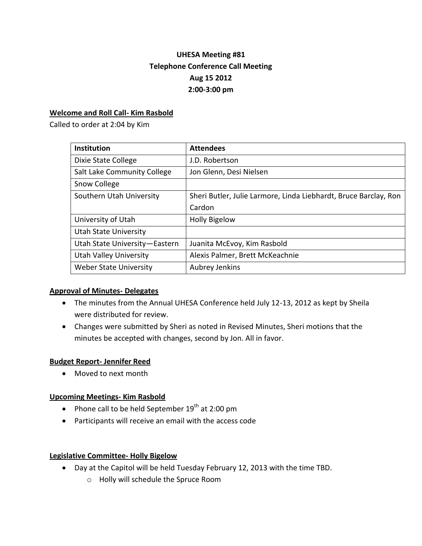# **UHESA Meeting #81 Telephone Conference Call Meeting Aug 15 2012 2:00-3:00 pm**

## **Welcome and Roll Call- Kim Rasbold**

Called to order at 2:04 by Kim

| <b>Institution</b>            | <b>Attendees</b>                                                 |
|-------------------------------|------------------------------------------------------------------|
| Dixie State College           | J.D. Robertson                                                   |
| Salt Lake Community College   | Jon Glenn, Desi Nielsen                                          |
| Snow College                  |                                                                  |
| Southern Utah University      | Sheri Butler, Julie Larmore, Linda Liebhardt, Bruce Barclay, Ron |
|                               | Cardon                                                           |
| University of Utah            | <b>Holly Bigelow</b>                                             |
| <b>Utah State University</b>  |                                                                  |
| Utah State University-Eastern | Juanita McEvoy, Kim Rasbold                                      |
| <b>Utah Valley University</b> | Alexis Palmer, Brett McKeachnie                                  |
| <b>Weber State University</b> | Aubrey Jenkins                                                   |

#### **Approval of Minutes- Delegates**

- The minutes from the Annual UHESA Conference held July 12-13, 2012 as kept by Sheila were distributed for review.
- Changes were submitted by Sheri as noted in Revised Minutes, Sheri motions that the minutes be accepted with changes, second by Jon. All in favor.

#### **Budget Report- Jennifer Reed**

• Moved to next month

#### **Upcoming Meetings- Kim Rasbold**

- Phone call to be held September  $19^{th}$  at 2:00 pm
- Participants will receive an email with the access code

#### **Legislative Committee- Holly Bigelow**

- Day at the Capitol will be held Tuesday February 12, 2013 with the time TBD.
	- o Holly will schedule the Spruce Room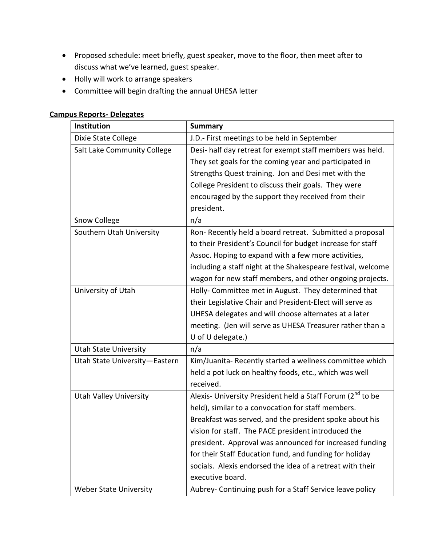- Proposed schedule: meet briefly, guest speaker, move to the floor, then meet after to discuss what we've learned, guest speaker.
- Holly will work to arrange speakers
- Committee will begin drafting the annual UHESA letter

| <b>Institution</b>            | <b>Summary</b>                                                         |
|-------------------------------|------------------------------------------------------------------------|
| Dixie State College           | J.D.- First meetings to be held in September                           |
| Salt Lake Community College   | Desi- half day retreat for exempt staff members was held.              |
|                               | They set goals for the coming year and participated in                 |
|                               | Strengths Quest training. Jon and Desi met with the                    |
|                               | College President to discuss their goals. They were                    |
|                               | encouraged by the support they received from their                     |
|                               | president.                                                             |
| Snow College                  | n/a                                                                    |
| Southern Utah University      | Ron-Recently held a board retreat. Submitted a proposal                |
|                               | to their President's Council for budget increase for staff             |
|                               | Assoc. Hoping to expand with a few more activities,                    |
|                               | including a staff night at the Shakespeare festival, welcome           |
|                               | wagon for new staff members, and other ongoing projects.               |
| University of Utah            | Holly- Committee met in August. They determined that                   |
|                               | their Legislative Chair and President-Elect will serve as              |
|                               | UHESA delegates and will choose alternates at a later                  |
|                               | meeting. (Jen will serve as UHESA Treasurer rather than a              |
|                               | U of U delegate.)                                                      |
| <b>Utah State University</b>  | n/a                                                                    |
| Utah State University-Eastern | Kim/Juanita-Recently started a wellness committee which                |
|                               | held a pot luck on healthy foods, etc., which was well                 |
|                               | received.                                                              |
| <b>Utah Valley University</b> | Alexis- University President held a Staff Forum (2 <sup>nd</sup> to be |
|                               | held), similar to a convocation for staff members.                     |
|                               | Breakfast was served, and the president spoke about his                |
|                               | vision for staff. The PACE president introduced the                    |
|                               | president. Approval was announced for increased funding                |
|                               | for their Staff Education fund, and funding for holiday                |
|                               | socials. Alexis endorsed the idea of a retreat with their              |
|                               | executive board.                                                       |

Weber State University **Aubrey- Continuing push for a Staff Service leave policy** 

#### **Campus Reports- Delegates**